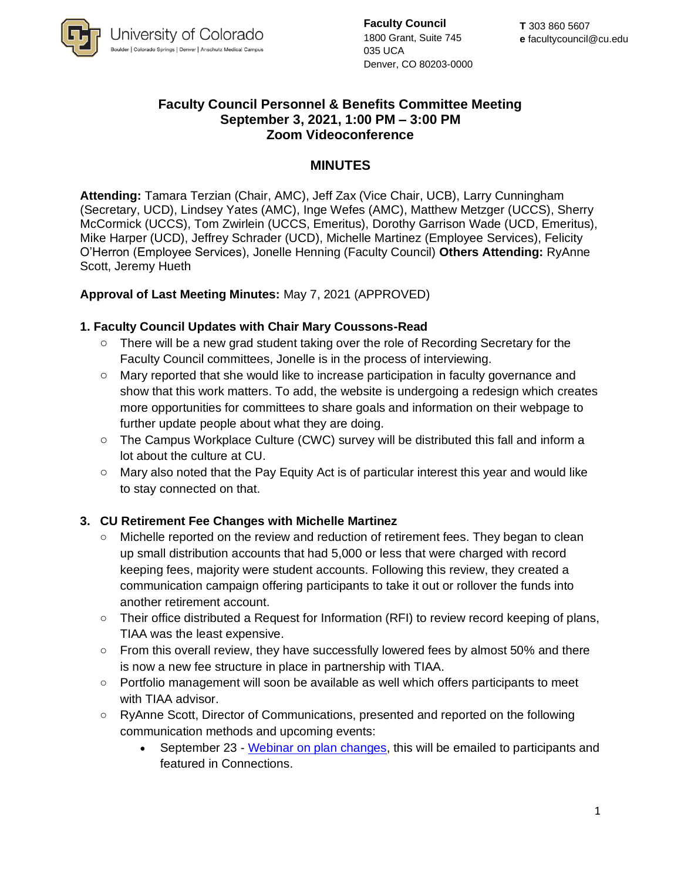

**Faculty Council** 1800 Grant, Suite 745 035 UCA Denver, CO 80203-0000

## **Faculty Council Personnel & Benefits Committee Meeting September 3, 2021, 1:00 PM – 3:00 PM Zoom Videoconference**

### **MINUTES**

**Attending:** Tamara Terzian (Chair, AMC), Jeff Zax (Vice Chair, UCB), Larry Cunningham (Secretary, UCD), Lindsey Yates (AMC), Inge Wefes (AMC), Matthew Metzger (UCCS), Sherry McCormick (UCCS), Tom Zwirlein (UCCS, Emeritus), Dorothy Garrison Wade (UCD, Emeritus), Mike Harper (UCD), Jeffrey Schrader (UCD), Michelle Martinez (Employee Services), Felicity O'Herron (Employee Services), Jonelle Henning (Faculty Council) **Others Attending:** RyAnne Scott, Jeremy Hueth

### **Approval of Last Meeting Minutes:** May 7, 2021 (APPROVED)

#### **1. Faculty Council Updates with Chair Mary Coussons-Read**

- o There will be a new grad student taking over the role of Recording Secretary for the Faculty Council committees, Jonelle is in the process of interviewing.
- $\circ$  Mary reported that she would like to increase participation in faculty governance and show that this work matters. To add, the website is undergoing a redesign which creates more opportunities for committees to share goals and information on their webpage to further update people about what they are doing.
- o The Campus Workplace Culture (CWC) survey will be distributed this fall and inform a lot about the culture at CU.
- $\circ$  Mary also noted that the Pay Equity Act is of particular interest this year and would like to stay connected on that.

### **3. CU Retirement Fee Changes with Michelle Martinez**

- Michelle reported on the review and reduction of retirement fees. They began to clean up small distribution accounts that had 5,000 or less that were charged with record keeping fees, majority were student accounts. Following this review, they created a communication campaign offering participants to take it out or rollover the funds into another retirement account.
- Their office distributed a Request for Information (RFI) to review record keeping of plans, TIAA was the least expensive.
- $\circ$  From this overall review, they have successfully lowered fees by almost 50% and there is now a new fee structure in place in partnership with TIAA.
- $\circ$  Portfolio management will soon be available as well which offers participants to meet with TIAA advisor.
- o RyAnne Scott, Director of Communications, presented and reported on the following communication methods and upcoming events:
	- September 23 [Webinar on plan changes,](https://gateway.on24.com/wcc/experience/elitetiaaifssubmaster/3133860/3347979/university-of-colorado) this will be emailed to participants and featured in Connections.